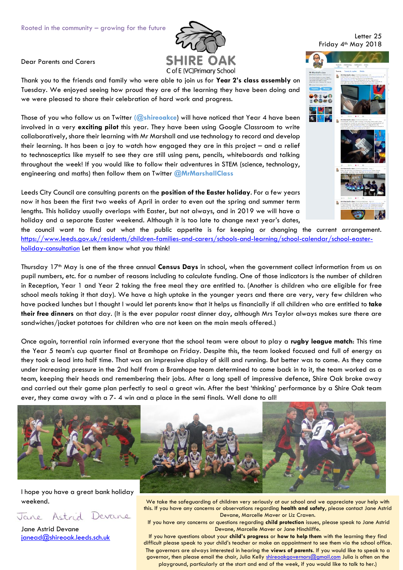

Dear Parents and Carers

Thank you to the friends and family who were able to join us for **Year 2's class assembly** on Tuesday. We enjoyed seeing how proud they are of the learning they have been doing and we were pleased to share their celebration of hard work and progress.

Those of you who follow us on Twitter **(@shireoakce**) will have noticed that Year 4 have been involved in a very **exciting pilot** this year. They have been using Google Classroom to write collaboratively, share their learning with Mr Marshall and use technology to record and develop their learning. It has been a joy to watch how engaged they are in this project – and a relief to technosceptics like myself to see they are still using pens, pencils, whiteboards and talking throughout the week! If you would like to follow their adventures in STEM (science, technology, engineering and maths) then follow them on Twitter **@MrMarshallClass**

Leeds City Council are consulting parents on the **position of the Easter holiday**. For a few years now it has been the first two weeks of April in order to even out the spring and summer term lengths. This holiday usually overlaps with Easter, but not always, and in 2019 we will have a holiday and a separate Easter weekend. Although it is too late to change next year's dates,

the council want to find out what the public appetite is for keeping or changing the current arrangement. [https://www.leeds.gov.uk/residents/children-families-and-carers/schools-and-learning/school-calendar/school-easter](https://www.leeds.gov.uk/residents/children-families-and-carers/schools-and-learning/school-calendar/school-easter-holiday-consultation)[holiday-consultation](https://www.leeds.gov.uk/residents/children-families-and-carers/schools-and-learning/school-calendar/school-easter-holiday-consultation) Let them know what you think!

Thursday 17th May is one of the three annual **Census Days** in school, when the government collect information from us on pupil numbers, etc. for a number of reasons including to calculate funding. One of those indicators is the number of children in Reception, Year 1 and Year 2 taking the free meal they are entitled to. (Another is children who are eligible for free school meals taking it that day). We have a high uptake in the younger years and there are very, very few children who have packed lunches but I thought I would let parents know that it helps us financially if all children who are entitled to **take their free dinners** on that day. (It is the ever popular roast dinner day, although Mrs Taylor always makes sure there are sandwiches/jacket potatoes for children who are not keen on the main meals offered.)

Once again, torrential rain informed everyone that the school team were about to play a **rugby league match**: This time the Year 5 team's cup quarter final at Bramhope on Friday. Despite this, the team looked focused and full of energy as they took a lead into half time. That was an impressive display of skill and running. But better was to come. As they came under increasing pressure in the 2nd half from a Bramhope team determined to come back in to it, the team worked as a team, keeping their heads and remembering their jobs. After a long spell of impressive defence, Shire Oak broke away and carried out their game plan perfectly to seal a great win. After the best 'thinking' performance by a Shire Oak team ever, they came away with a 7- 4 win and a place in the semi finals. Well done to all!



I hope you have a great bank holiday weekend.

## Jane Astrid Devane

Jane Astrid Devane [janead@shireoak.leeds.sch.uk](mailto:janead@shireoak.leeds.sch.uk) this. If you have any concerns or observations regarding **health and safety**, please contact Jane Astrid Devane, Marcelle Maver or Liz Craven. If you have any concerns or questions regarding **child protection** issues, please speak to Jane Astrid

We take the safeguarding of children very seriously at our school and we appreciate your help with

Devane, Marcelle Maver or Jane Hinchliffe. If you have questions about your **child's progress** or **how to help them** with the learning they find difficult please speak to your child's teacher or make an appointment to see them via the school office. The governors are always interested in hearing the **views of parents**. If you would like to speak to a governor, then please email the chair, Julia Kelly [shireoakgovernors@gmail.com](mailto:shireoakgovernors@gmail.com) Julia is often on the playground, particularly at the start and end of the week, if you would like to talk to her.)

## Letter 25 Friday 4<sup>th</sup> May 2018